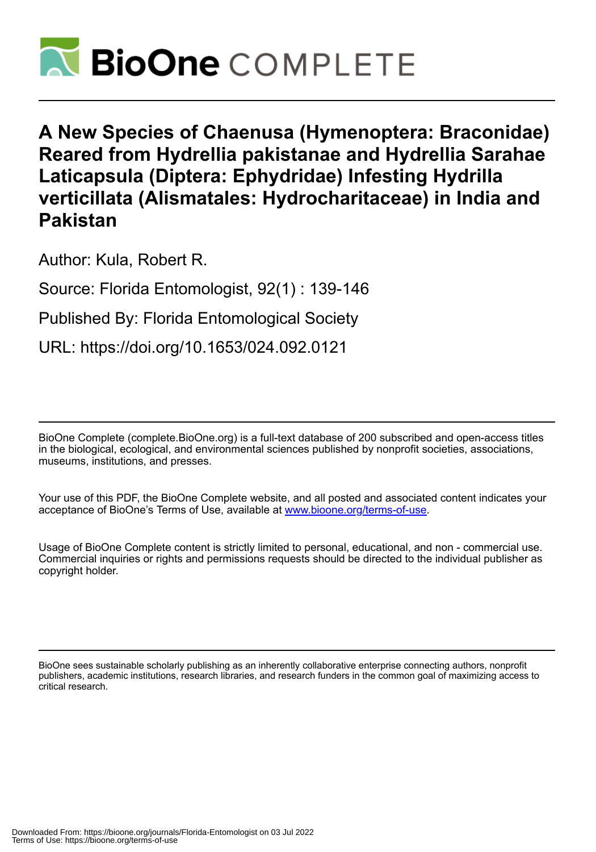

# **A New Species of Chaenusa (Hymenoptera: Braconidae) Reared from Hydrellia pakistanae and Hydrellia Sarahae Laticapsula (Diptera: Ephydridae) Infesting Hydrilla verticillata (Alismatales: Hydrocharitaceae) in India and Pakistan**

Author: Kula, Robert R.

Source: Florida Entomologist, 92(1) : 139-146

Published By: Florida Entomological Society

URL: https://doi.org/10.1653/024.092.0121

BioOne Complete (complete.BioOne.org) is a full-text database of 200 subscribed and open-access titles in the biological, ecological, and environmental sciences published by nonprofit societies, associations, museums, institutions, and presses.

Your use of this PDF, the BioOne Complete website, and all posted and associated content indicates your acceptance of BioOne's Terms of Use, available at www.bioone.org/terms-of-use.

Usage of BioOne Complete content is strictly limited to personal, educational, and non - commercial use. Commercial inquiries or rights and permissions requests should be directed to the individual publisher as copyright holder.

BioOne sees sustainable scholarly publishing as an inherently collaborative enterprise connecting authors, nonprofit publishers, academic institutions, research libraries, and research funders in the common goal of maximizing access to critical research.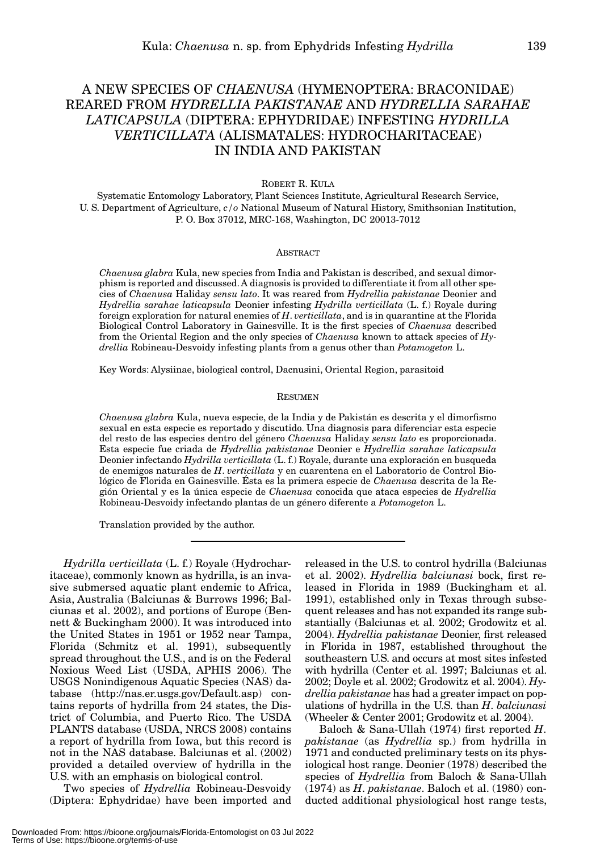# A NEW SPECIES OF *CHAENUSA* (HYMENOPTERA: BRACONIDAE) REARED FROM *HYDRELLIA PAKISTANAE* AND *HYDRELLIA SARAHAE LATICAPSULA* (DIPTERA: EPHYDRIDAE) INFESTING *HYDRILLA VERTICILLATA* (ALISMATALES: HYDROCHARITACEAE) IN INDIA AND PAKISTAN

ROBERT R. KULA

Systematic Entomology Laboratory, Plant Sciences Institute, Agricultural Research Service, U. S. Department of Agriculture, *c/o* National Museum of Natural History, Smithsonian Institution, P. O. Box 37012, MRC-168, Washington, DC 20013-7012

#### **ABSTRACT**

*Chaenusa glabra* Kula, new species from India and Pakistan is described, and sexual dimorphism is reported and discussed. A diagnosis is provided to differentiate it from all other species of *Chaenusa* Haliday *sensu lato*. It was reared from *Hydrellia pakistanae* Deonier and *Hydrellia sarahae laticapsula* Deonier infesting *Hydrilla verticillata* (L. f.) Royale during foreign exploration for natural enemies of *H*. *verticillata*, and is in quarantine at the Florida Biological Control Laboratory in Gainesville. It is the first species of *Chaenusa* described from the Oriental Region and the only species of *Chaenusa* known to attack species of *Hydrellia* Robineau-Desvoidy infesting plants from a genus other than *Potamogeton* L.

Key Words: Alysiinae, biological control, Dacnusini, Oriental Region, parasitoid

#### RESUMEN

*Chaenusa glabra* Kula, nueva especie, de la India y de Pakistán es descrita y el dimorfismo sexual en esta especie es reportado y discutido. Una diagnosis para diferenciar esta especie del resto de las especies dentro del género *Chaenusa* Haliday *sensu lato* es proporcionada. Esta especie fue criada de *Hydrellia pakistanae* Deonier e *Hydrellia sarahae laticapsula* Deonier infectando *Hydrilla verticillata* (L. f.) Royale, durante una exploración en busqueda de enemigos naturales de *H*. *verticillata* y en cuarentena en el Laboratorio de Control Biológico de Florida en Gainesville. Ésta es la primera especie de *Chaenusa* descrita de la Región Oriental y es la única especie de *Chaenusa* conocida que ataca especies de *Hydrellia* Robineau-Desvoidy infectando plantas de un género diferente a *Potamogeton* L.

Translation provided by the author.

*Hydrilla verticillata* (L. f.) Royale (Hydrocharitaceae), commonly known as hydrilla, is an invasive submersed aquatic plant endemic to Africa, Asia, Australia (Balciunas & Burrows 1996; Balciunas et al. 2002), and portions of Europe (Bennett & Buckingham 2000). It was introduced into the United States in 1951 or 1952 near Tampa, Florida (Schmitz et al. 1991), subsequently spread throughout the U.S., and is on the Federal Noxious Weed List (USDA, APHIS 2006). The USGS Nonindigenous Aquatic Species (NAS) database (http://nas.er.usgs.gov/Default.asp) contains reports of hydrilla from 24 states, the District of Columbia, and Puerto Rico. The USDA PLANTS database (USDA, NRCS 2008) contains a report of hydrilla from Iowa, but this record is not in the NAS database. Balciunas et al. (2002) provided a detailed overview of hydrilla in the U.S. with an emphasis on biological control.

Two species of *Hydrellia* Robineau-Desvoidy (Diptera: Ephydridae) have been imported and

released in the U.S. to control hydrilla (Balciunas et al. 2002). *Hydrellia balciunasi* bock, first released in Florida in 1989 (Buckingham et al. 1991), established only in Texas through subsequent releases and has not expanded its range substantially (Balciunas et al. 2002; Grodowitz et al. 2004). *Hydrellia pakistanae* Deonier, first released in Florida in 1987, established throughout the southeastern U.S. and occurs at most sites infested with hydrilla (Center et al. 1997; Balciunas et al. 2002; Doyle et al. 2002; Grodowitz et al. 2004). *Hydrellia pakistanae* has had a greater impact on populations of hydrilla in the U.S. than *H*. *balciunasi* (Wheeler & Center 2001; Grodowitz et al. 2004).

Baloch & Sana-Ullah (1974) first reported *H*. *pakistanae* (as *Hydrellia* sp.) from hydrilla in 1971 and conducted preliminary tests on its physiological host range. Deonier (1978) described the species of *Hydrellia* from Baloch & Sana-Ullah (1974) as *H*. *pakistanae*. Baloch et al. (1980) conducted additional physiological host range tests,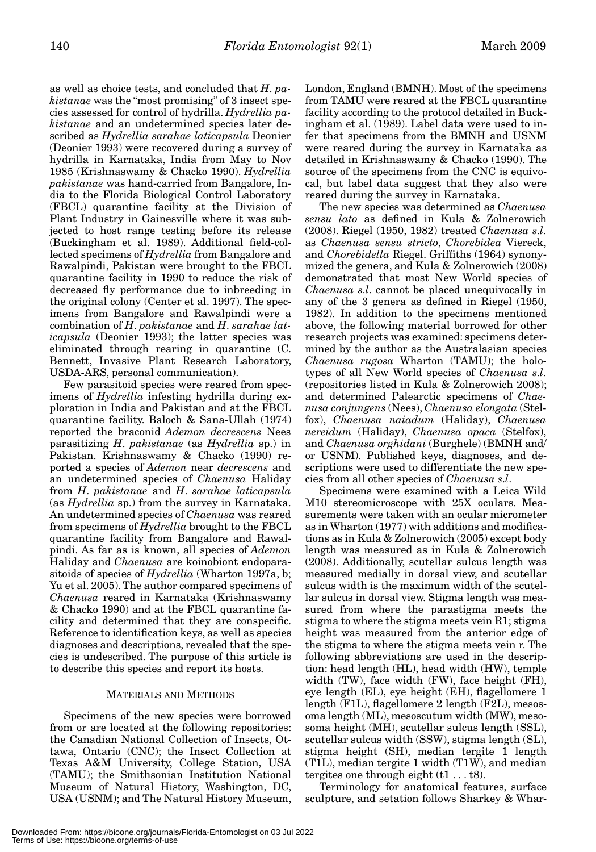as well as choice tests, and concluded that *H*. *pakistanae* was the "most promising" of 3 insect species assessed for control of hydrilla. *Hydrellia pakistanae* and an undetermined species later described as *Hydrellia sarahae laticapsula* Deonier (Deonier 1993) were recovered during a survey of hydrilla in Karnataka, India from May to Nov 1985 (Krishnaswamy & Chacko 1990). *Hydrellia pakistanae* was hand-carried from Bangalore, India to the Florida Biological Control Laboratory (FBCL) quarantine facility at the Division of Plant Industry in Gainesville where it was subjected to host range testing before its release (Buckingham et al. 1989). Additional field-collected specimens of *Hydrellia* from Bangalore and Rawalpindi, Pakistan were brought to the FBCL quarantine facility in 1990 to reduce the risk of decreased fly performance due to inbreeding in the original colony (Center et al. 1997). The specimens from Bangalore and Rawalpindi were a combination of *H*. *pakistanae* and *H*. *sarahae laticapsula* (Deonier 1993); the latter species was eliminated through rearing in quarantine (C. Bennett, Invasive Plant Research Laboratory, USDA-ARS, personal communication).

Few parasitoid species were reared from specimens of *Hydrellia* infesting hydrilla during exploration in India and Pakistan and at the FBCL quarantine facility. Baloch & Sana-Ullah (1974) reported the braconid *Ademon decrescens* Nees parasitizing *H*. *pakistanae* (as *Hydrellia* sp.) in Pakistan. Krishnaswamy & Chacko (1990) reported a species of *Ademon* near *decrescens* and an undetermined species of *Chaenusa* Haliday from *H*. *pakistanae* and *H*. *sarahae laticapsula* (as *Hydrellia* sp.) from the survey in Karnataka. An undetermined species of *Chaenusa* was reared from specimens of *Hydrellia* brought to the FBCL quarantine facility from Bangalore and Rawalpindi. As far as is known, all species of *Ademon* Haliday and *Chaenusa* are koinobiont endoparasitoids of species of *Hydrellia* (Wharton 1997a, b; Yu et al. 2005). The author compared specimens of *Chaenusa* reared in Karnataka (Krishnaswamy & Chacko 1990) and at the FBCL quarantine facility and determined that they are conspecific. Reference to identification keys, as well as species diagnoses and descriptions, revealed that the species is undescribed. The purpose of this article is to describe this species and report its hosts.

## MATERIALS AND METHODS

Specimens of the new species were borrowed from or are located at the following repositories: the Canadian National Collection of Insects, Ottawa, Ontario (CNC); the Insect Collection at Texas A&M University, College Station, USA (TAMU); the Smithsonian Institution National Museum of Natural History, Washington, DC, USA (USNM); and The Natural History Museum,

London, England (BMNH). Most of the specimens from TAMU were reared at the FBCL quarantine facility according to the protocol detailed in Buckingham et al. (1989). Label data were used to infer that specimens from the BMNH and USNM were reared during the survey in Karnataka as detailed in Krishnaswamy & Chacko (1990). The source of the specimens from the CNC is equivocal, but label data suggest that they also were reared during the survey in Karnataka.

The new species was determined as *Chaenusa sensu lato* as defined in Kula & Zolnerowich (2008). Riegel (1950, 1982) treated *Chaenusa s*.*l*. as *Chaenusa sensu stricto*, *Chorebidea* Viereck, and *Chorebidella* Riegel. Griffiths (1964) synonymized the genera, and Kula & Zolnerowich (2008) demonstrated that most New World species of *Chaenusa s*.*l*. cannot be placed unequivocally in any of the 3 genera as defined in Riegel (1950, 1982). In addition to the specimens mentioned above, the following material borrowed for other research projects was examined: specimens determined by the author as the Australasian species *Chaenusa rugosa* Wharton (TAMU); the holotypes of all New World species of *Chaenusa s*.*l*. (repositories listed in Kula & Zolnerowich 2008); and determined Palearctic specimens of *Chaenusa conjungens* (Nees), *Chaenusa elongata* (Stelfox), *Chaenusa naiadum* (Haliday), *Chaenusa nereidum* (Haliday), *Chaenusa opaca* (Stelfox), and *Chaenusa orghidani* (Burghele) (BMNH and/ or USNM). Published keys, diagnoses, and descriptions were used to differentiate the new species from all other species of *Chaenusa s*.*l*.

Specimens were examined with a Leica Wild M10 stereomicroscope with 25X oculars. Measurements were taken with an ocular micrometer as in Wharton (1977) with additions and modifications as in Kula & Zolnerowich (2005) except body length was measured as in Kula & Zolnerowich (2008). Additionally, scutellar sulcus length was measured medially in dorsal view, and scutellar sulcus width is the maximum width of the scutellar sulcus in dorsal view. Stigma length was measured from where the parastigma meets the stigma to where the stigma meets vein R1; stigma height was measured from the anterior edge of the stigma to where the stigma meets vein r. The following abbreviations are used in the description: head length (HL), head width (HW), temple width (TW), face width (FW), face height (FH), eye length (EL), eye height (EH), flagellomere 1 length (F1L), flagellomere 2 length (F2L), mesosoma length (ML), mesoscutum width (MW), mesosoma height (MH), scutellar sulcus length (SSL), scutellar sulcus width (SSW), stigma length (SL), stigma height (SH), median tergite 1 length (T1L), median tergite 1 width (T1W), and median tergites one through eight  $(t1 \dots t8)$ .

Terminology for anatomical features, surface sculpture, and setation follows Sharkey & Whar-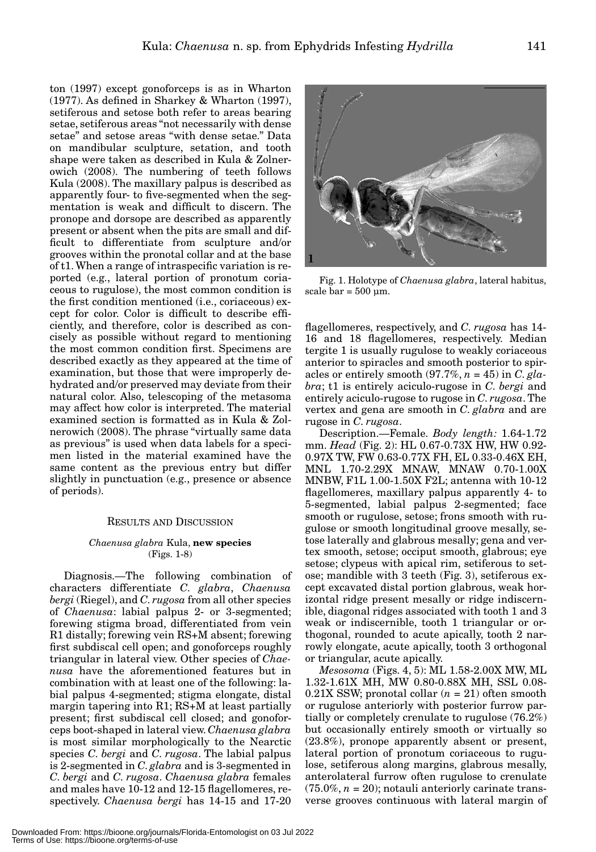ton (1997) except gonoforceps is as in Wharton (1977). As defined in Sharkey & Wharton (1997), setiferous and setose both refer to areas bearing setae, setiferous areas "not necessarily with dense setae" and setose areas "with dense setae." Data on mandibular sculpture, setation, and tooth shape were taken as described in Kula & Zolnerowich (2008). The numbering of teeth follows Kula (2008). The maxillary palpus is described as apparently four- to five-segmented when the segmentation is weak and difficult to discern. The pronope and dorsope are described as apparently present or absent when the pits are small and difficult to differentiate from sculpture and/or grooves within the pronotal collar and at the base of t1. When a range of intraspecific variation is reported (e.g., lateral portion of pronotum coriaceous to rugulose), the most common condition is the first condition mentioned (i.e., coriaceous) except for color. Color is difficult to describe efficiently, and therefore, color is described as concisely as possible without regard to mentioning the most common condition first. Specimens are described exactly as they appeared at the time of examination, but those that were improperly dehydrated and/or preserved may deviate from their natural color. Also, telescoping of the metasoma may affect how color is interpreted. The material examined section is formatted as in Kula & Zolnerowich (2008). The phrase "virtually same data as previous" is used when data labels for a specimen listed in the material examined have the same content as the previous entry but differ slightly in punctuation (e.g., presence or absence of periods).

# RESULTS AND DISCUSSION

## *Chaenusa glabra* Kula, **new species** (Figs. 1-8)

Diagnosis.—The following combination of characters differentiate *C*. *glabra*, *Chaenusa bergi* (Riegel), and *C*. *rugosa* from all other species of *Chaenusa*: labial palpus 2- or 3-segmented; forewing stigma broad, differentiated from vein R1 distally; forewing vein RS+M absent; forewing first subdiscal cell open; and gonoforceps roughly triangular in lateral view. Other species of *Chaenusa* have the aforementioned features but in combination with at least one of the following: labial palpus 4-segmented; stigma elongate, distal margin tapering into R1; RS+M at least partially present; first subdiscal cell closed; and gonoforceps boot-shaped in lateral view. *Chaenusa glabra* is most similar morphologically to the Nearctic species *C*. *bergi* and *C*. *rugosa*. The labial palpus is 2-segmented in *C*. *glabra* and is 3-segmented in *C*. *bergi* and *C*. *rugosa*. *Chaenusa glabra* females and males have 10-12 and 12-15 flagellomeres, respectively. *Chaenusa bergi* has 14-15 and 17-20



Fig. 1. Holotype of *Chaenusa glabra*, lateral habitus, scale bar =  $500 \mu m$ .

flagellomeres, respectively, and *C*. *rugosa* has 14- 16 and 18 flagellomeres, respectively. Median tergite 1 is usually rugulose to weakly coriaceous anterior to spiracles and smooth posterior to spiracles or entirely smooth  $(97.7\%, n = 45)$  in *C*. *glabra*; t1 is entirely aciculo-rugose in *C*. *bergi* and entirely aciculo-rugose to rugose in *C*. *rugosa*. The vertex and gena are smooth in *C*. *glabra* and are rugose in *C*. *rugosa*.

Description.—Female. *Body length:* 1.64-1.72 mm. *Head* (Fig. 2): HL 0.67-0.73X HW, HW 0.92- 0.97X TW, FW 0.63-0.77X FH, EL 0.33-0.46X EH, MNL 1.70-2.29X MNAW, MNAW 0.70-1.00X MNBW, F1L 1.00-1.50X F2L; antenna with 10-12 flagellomeres, maxillary palpus apparently 4- to 5-segmented, labial palpus 2-segmented; face smooth or rugulose, setose; frons smooth with rugulose or smooth longitudinal groove mesally, setose laterally and glabrous mesally; gena and vertex smooth, setose; occiput smooth, glabrous; eye setose; clypeus with apical rim, setiferous to setose; mandible with 3 teeth (Fig. 3), setiferous except excavated distal portion glabrous, weak horizontal ridge present mesally or ridge indiscernible, diagonal ridges associated with tooth 1 and 3 weak or indiscernible, tooth 1 triangular or orthogonal, rounded to acute apically, tooth 2 narrowly elongate, acute apically, tooth 3 orthogonal or triangular, acute apically.

*Mesosoma* (Figs. 4, 5): ML 1.58-2.00X MW, ML 1.32-1.61X MH, MW 0.80-0.88X MH, SSL 0.08-  $0.21X$  SSW; pronotal collar  $(n = 21)$  often smooth or rugulose anteriorly with posterior furrow partially or completely crenulate to rugulose (76.2%) but occasionally entirely smooth or virtually so (23.8%), pronope apparently absent or present, lateral portion of pronotum coriaceous to rugulose, setiferous along margins, glabrous mesally, anterolateral furrow often rugulose to crenulate  $(75.0\%, n = 20)$ ; notauli anteriorly carinate transverse grooves continuous with lateral margin of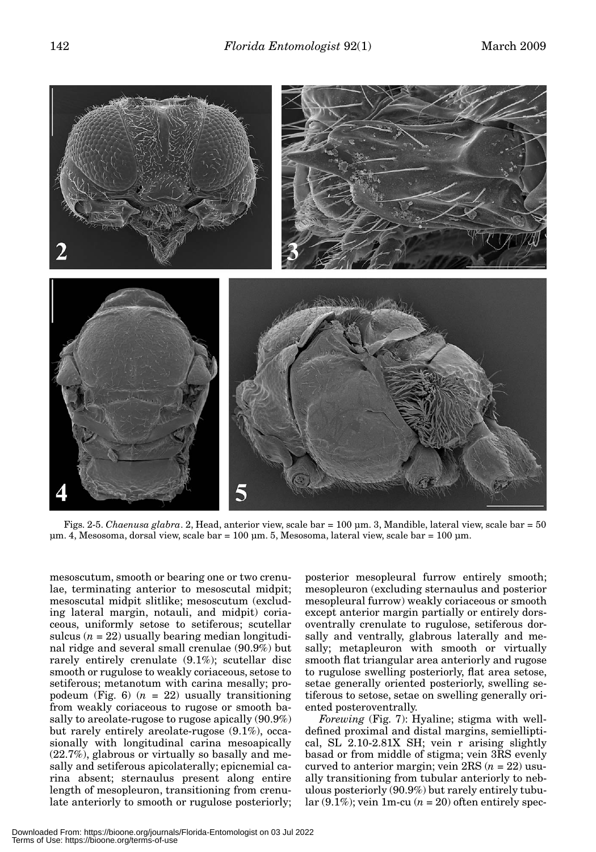

Figs. 2-5. *Chaenusa glabra*. 2, Head, anterior view, scale bar = 100 μm. 3, Mandible, lateral view, scale bar = 50 μm. 4, Mesosoma, dorsal view, scale bar = 100 μm. 5, Mesosoma, lateral view, scale bar = 100 μm.

mesoscutum, smooth or bearing one or two crenulae, terminating anterior to mesoscutal midpit; mesoscutal midpit slitlike; mesoscutum (excluding lateral margin, notauli, and midpit) coriaceous, uniformly setose to setiferous; scutellar sulcus  $(n = 22)$  usually bearing median longitudinal ridge and several small crenulae (90.9%) but rarely entirely crenulate (9.1%); scutellar disc smooth or rugulose to weakly coriaceous, setose to setiferous; metanotum with carina mesally; propodeum (Fig.  $6$ ) ( $n = 22$ ) usually transitioning from weakly coriaceous to rugose or smooth basally to areolate-rugose to rugose apically (90.9%) but rarely entirely areolate-rugose (9.1%), occasionally with longitudinal carina mesoapically (22.7%), glabrous or virtually so basally and mesally and setiferous apicolaterally; epicnemial carina absent; sternaulus present along entire length of mesopleuron, transitioning from crenulate anteriorly to smooth or rugulose posteriorly;

posterior mesopleural furrow entirely smooth; mesopleuron (excluding sternaulus and posterior mesopleural furrow) weakly coriaceous or smooth except anterior margin partially or entirely dorsoventrally crenulate to rugulose, setiferous dorsally and ventrally, glabrous laterally and mesally; metapleuron with smooth or virtually smooth flat triangular area anteriorly and rugose to rugulose swelling posteriorly, flat area setose, setae generally oriented posteriorly, swelling setiferous to setose, setae on swelling generally oriented posteroventrally.

*Forewing* (Fig. 7): Hyaline; stigma with welldefined proximal and distal margins, semielliptical, SL 2.10-2.81X SH; vein r arising slightly basad or from middle of stigma; vein 3RS evenly curved to anterior margin; vein 2RS (*n* = 22) usually transitioning from tubular anteriorly to nebulous posteriorly (90.9%) but rarely entirely tubular  $(9.1\%)$ ; vein 1m-cu  $(n = 20)$  often entirely spec-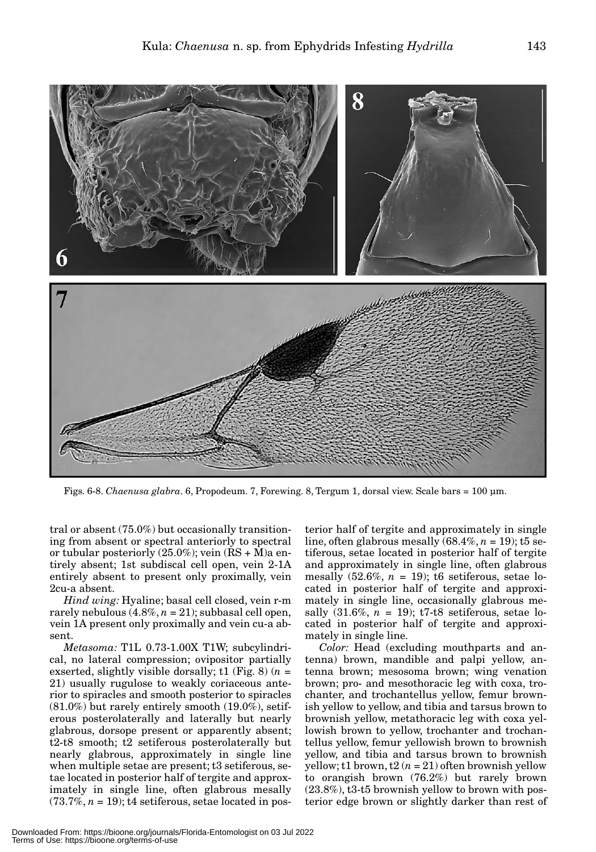

Figs. 6-8. *Chaenusa glabra*. 6, Propodeum. 7, Forewing. 8, Tergum 1, dorsal view. Scale bars = 100 μm.

tral or absent (75.0%) but occasionally transitioning from absent or spectral anteriorly to spectral or tubular posteriorly  $(25.0\%)$ ; vein  $(RS + M)a$  entirely absent; 1st subdiscal cell open, vein 2-1A entirely absent to present only proximally, vein 2cu-a absent.

*Hind wing:* Hyaline; basal cell closed, vein r-m rarely nebulous  $(4.8\%, n = 21)$ ; subbasal cell open, vein 1A present only proximally and vein cu-a absent.

*Metasoma:* T1L 0.73-1.00X T1W; subcylindrical, no lateral compression; ovipositor partially exserted, slightly visible dorsally; t1 (Fig. 8)  $(n =$ 21) usually rugulose to weakly coriaceous anterior to spiracles and smooth posterior to spiracles  $(81.0\%)$  but rarely entirely smooth  $(19.0\%)$ , setiferous posterolaterally and laterally but nearly glabrous, dorsope present or apparently absent; t2-t8 smooth; t2 setiferous posterolaterally but nearly glabrous, approximately in single line when multiple setae are present; t3 setiferous, setae located in posterior half of tergite and approximately in single line, often glabrous mesally  $(73.7\%, n = 19)$ ; t4 setiferous, setae located in posterior half of tergite and approximately in single line, often glabrous mesally  $(68.4\%, n = 19)$ ; t5 setiferous, setae located in posterior half of tergite and approximately in single line, often glabrous mesally  $(52.6\%, n = 19)$ ; t6 setiferous, setae located in posterior half of tergite and approximately in single line, occasionally glabrous mesally  $(31.6\%, n = 19)$ ; t7-t8 setiferous, setae located in posterior half of tergite and approximately in single line.

*Color:* Head (excluding mouthparts and antenna) brown, mandible and palpi yellow, antenna brown; mesosoma brown; wing venation brown; pro- and mesothoracic leg with coxa, trochanter, and trochantellus yellow, femur brownish yellow to yellow, and tibia and tarsus brown to brownish yellow, metathoracic leg with coxa yellowish brown to yellow, trochanter and trochantellus yellow, femur yellowish brown to brownish yellow, and tibia and tarsus brown to brownish yellow; t1 brown, t2  $(n = 21)$  often brownish yellow to orangish brown (76.2%) but rarely brown (23.8%), t3-t5 brownish yellow to brown with posterior edge brown or slightly darker than rest of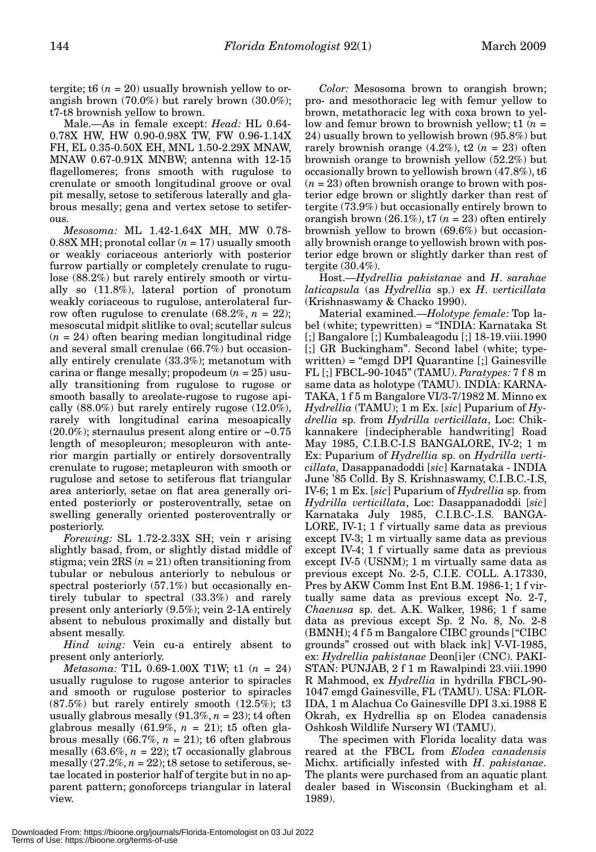tergite; t6  $(n = 20)$  usually brownish yellow to orangish brown (70.0%) but rarely brown (30.0%); t7-t8 brownish yellow to brown.

Male.—As in female except: *Head:* HL 0.64- 0.78X HW, HW 0.90-0.98X TW, FW 0.96-1.14X FH, EL 0.35-0.50X EH, MNL 1.50-2.29X MNAW, MNAW 0.67-0.91X MNBW; antenna with 12-15 flagellomeres; frons smooth with rugulose to crenulate or smooth longitudinal groove or oval pit mesally, setose to setiferous laterally and glabrous mesally; gena and vertex setose to setiferous.

*Mesosoma:* ML 1.42-1.64X MH, MW 0.78-  $0.88X$  MH; pronotal collar  $(n = 17)$  usually smooth or weakly coriaceous anteriorly with posterior furrow partially or completely crenulate to rugulose (88.2%) but rarely entirely smooth or virtually so (11.8%), lateral portion of pronotum weakly coriaceous to rugulose, anterolateral furrow often rugulose to crenulate  $(68.2\%, n = 22)$ ; mesoscutal midpit slitlike to oval; scutellar sulcus (*n* = 24) often bearing median longitudinal ridge and several small crenulae (66.7%) but occasionally entirely crenulate (33.3%); metanotum with carina or flange mesally; propodeum (*n* = 25) usually transitioning from rugulose to rugose or smooth basally to areolate-rugose to rugose apically  $(88.0\%)$  but rarely entirely rugose  $(12.0\%).$ rarely with longitudinal carina mesoapically  $(20.0\%)$ ; sternaulus present along entire or  $\sim 0.75$ length of mesopleuron; mesopleuron with anterior margin partially or entirely dorsoventrally crenulate to rugose; metapleuron with smooth or rugulose and setose to setiferous flat triangular area anteriorly, setae on flat area generally oriented posteriorly or posteroventrally, setae on swelling generally oriented posteroventrally or posteriorly.

*Forewing:* SL 1.72-2.33X SH; vein r arising slightly basad, from, or slightly distad middle of stigma; vein  $2RS(n = 21)$  often transitioning from tubular or nebulous anteriorly to nebulous or spectral posteriorly (57.1%) but occasionally entirely tubular to spectral (33.3%) and rarely present only anteriorly (9.5%); vein 2-1A entirely absent to nebulous proximally and distally but absent mesally.

*Hind wing:* Vein cu-a entirely absent to present only anteriorly.

*Metasoma:* T1L 0.69-1.00X T1W; t1 (*n* = 24) usually rugulose to rugose anterior to spiracles and smooth or rugulose posterior to spiracles (87.5%) but rarely entirely smooth (12.5%); t3 usually glabrous mesally  $(91.3\%, n = 23)$ ; t4 often glabrous mesally  $(61.9\%, n = 21)$ ; t5 often glabrous mesally  $(66.7\%, n = 21)$ ; t6 often glabrous mesally  $(63.6\%, n = 22)$ ; t7 occasionally glabrous mesally  $(27.2\%, n = 22)$ ; t8 setose to setiferous, setae located in posterior half of tergite but in no apparent pattern; gonoforceps triangular in lateral view.

*Color:* Mesosoma brown to orangish brown; pro- and mesothoracic leg with femur yellow to brown, metathoracic leg with coxa brown to yellow and femur brown to brownish yellow; t1 (*n* = 24) usually brown to yellowish brown (95.8%) but rarely brownish orange  $(4.2\%)$ , t2  $(n = 23)$  often brownish orange to brownish yellow (52.2%) but occasionally brown to yellowish brown (47.8%), t6  $(n = 23)$  often brownish orange to brown with posterior edge brown or slightly darker than rest of tergite (73.9%) but occasionally entirely brown to orangish brown  $(26.1\%)$ , t7  $(n = 23)$  often entirely brownish yellow to brown (69.6%) but occasionally brownish orange to yellowish brown with posterior edge brown or slightly darker than rest of tergite (30.4%).

Host.—*Hydrellia pakistanae* and *H*. *sarahae laticapsula* (as *Hydrellia* sp.) ex *H*. *verticillata* (Krishnaswamy & Chacko 1990).

Material examined.—*Holotype female:* Top label (white; typewritten) = "INDIA: Karnataka St [;] Bangalore [;] Kumbaleagodu [;] 18-19.viii.1990 [;] GR Buckingham". Second label (white; typewritten) = "emgd DPI Quarantine [;] Gainesville FL [;] FBCL-90-1045" (TAMU). *Paratypes:* 7 f 8 m same data as holotype (TAMU). INDIA: KARNA-TAKA, 1 f 5 m Bangalore VI/3-7/1982 M. Minno ex *Hydrellia* (TAMU); 1 m Ex. [*sic*] Puparium of *Hydrellia* sp. from *Hydrilla verticillata*, Loc: Chikkannakere [indecipherable handwriting] Road May 1985, C.I.B.C-I.S BANGALORE, IV-2; 1 m Ex: Puparium of *Hydrellia* sp. on *Hydrilla verticillata,* Dasappanadoddi [*sic*] Karnataka - INDIA June '85 Colld. By S. Krishnaswamy, C.I.B.C.-I.S, IV-6; 1 m Ex. [*sic*] Puparium of *Hydrellia* sp. from *Hydrilla verticillata*, Loc: Dasappanadoddi [*sic*] Karnataka July 1985, C.I.B.C-.I.S. BANGA-LORE, IV-1; 1 f virtually same data as previous except IV-3; 1 m virtually same data as previous except IV-4; 1 f virtually same data as previous except IV-5 (USNM); 1 m virtually same data as previous except No. 2-5, C.I.E. COLL. A.17330, Pres by AKW Comm Inst Ent B.M. 1986-1; 1 f virtually same data as previous except No. 2-7, *Chaenusa* sp. det. A.K. Walker, 1986; 1 f same data as previous except Sp. 2 No. 8, No. 2-8 (BMNH); 4 f 5 m Bangalore CIBC grounds ["CIBC grounds" crossed out with black ink] V-VI-1985, ex: *Hydrellia pakistanae* Deon[i]er (CNC). PAKI-STAN: PUNJAB, 2 f 1 m Rawalpindi 23.viii.1990 R Mahmood, ex *Hydrellia* in hydrilla FBCL-90- 1047 emgd Gainesville, FL (TAMU). USA: FLOR-IDA, 1 m Alachua Co Gainesville DPI 3.xi.1988 E Okrah, ex Hydrellia sp on Elodea canadensis Oshkosh Wildlife Nursery WI (TAMU).

The specimen with Florida locality data was reared at the FBCL from *Elodea canadensis* Michx. artificially infested with *H*. *pakistanae*. The plants were purchased from an aquatic plant dealer based in Wisconsin (Buckingham et al. 1989).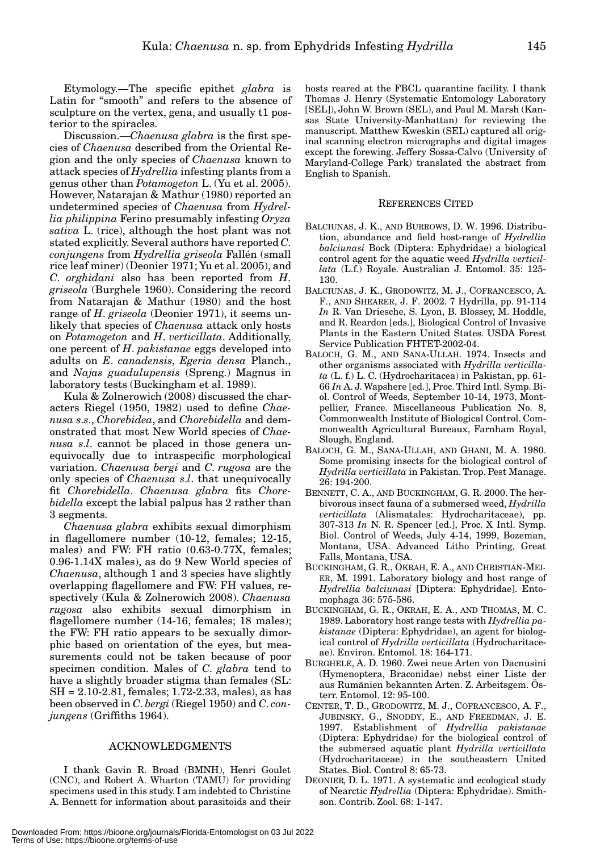Etymology.—The specific epithet *glabra* is Latin for "smooth" and refers to the absence of sculpture on the vertex, gena, and usually t1 posterior to the spiracles.

Discussion.—*Chaenusa glabra* is the first species of *Chaenusa* described from the Oriental Region and the only species of *Chaenusa* known to attack species of *Hydrellia* infesting plants from a genus other than *Potamogeton* L. (Yu et al. 2005). However, Natarajan & Mathur (1980) reported an undetermined species of *Chaenusa* from *Hydrellia philippina* Ferino presumably infesting *Oryza sativa* L. (rice), although the host plant was not stated explicitly. Several authors have reported *C*. *conjungens* from *Hydrellia griseola* Fallén (small rice leaf miner) (Deonier 1971; Yu et al. 2005), and *C*. *orghidani* also has been reported from *H*. *griseola* (Burghele 1960). Considering the record from Natarajan & Mathur (1980) and the host range of *H*. *griseola* (Deonier 1971), it seems unlikely that species of *Chaenusa* attack only hosts on *Potamogeton* and *H*. *verticillata*. Additionally, one percent of *H*. *pakistanae* eggs developed into adults on *E*. *canadensis*, *Egeria densa* Planch., and *Najas guadulupensis* (Spreng.) Magnus in laboratory tests (Buckingham et al. 1989).

Kula & Zolnerowich (2008) discussed the characters Riegel (1950, 1982) used to define *Chaenusa s*.*s*., *Chorebidea*, and *Chorebidella* and demonstrated that most New World species of *Chaenusa s*.*l*. cannot be placed in those genera unequivocally due to intraspecific morphological variation. *Chaenusa bergi* and *C*. *rugosa* are the only species of *Chaenusa s*.*l*. that unequivocally fit *Chorebidella*. *Chaenusa glabra* fits *Chorebidella* except the labial palpus has 2 rather than 3 segments.

*Chaenusa glabra* exhibits sexual dimorphism in flagellomere number (10-12, females; 12-15, males) and FW: FH ratio (0.63-0.77X, females; 0.96-1.14X males), as do 9 New World species of *Chaenusa*, although 1 and 3 species have slightly overlapping flagellomere and FW: FH values, respectively (Kula & Zolnerowich 2008). *Chaenusa rugosa* also exhibits sexual dimorphism in flagellomere number (14-16, females; 18 males); the FW: FH ratio appears to be sexually dimorphic based on orientation of the eyes, but measurements could not be taken because of poor specimen condition. Males of *C*. *glabra* tend to have a slightly broader stigma than females (SL: SH = 2.10-2.81, females; 1.72-2.33, males), as has been observed in *C*. *bergi* (Riegel 1950) and *C*. *conjungens* (Griffiths 1964).

#### ACKNOWLEDGMENTS

I thank Gavin R. Broad (BMNH), Henri Goulet (CNC), and Robert A. Wharton (TAMU) for providing specimens used in this study. I am indebted to Christine A. Bennett for information about parasitoids and their

hosts reared at the FBCL quarantine facility. I thank Thomas J. Henry (Systematic Entomology Laboratory [SEL]), John W. Brown (SEL), and Paul M. Marsh (Kansas State University-Manhattan) for reviewing the manuscript. Matthew Kweskin (SEL) captured all original scanning electron micrographs and digital images except the forewing. Jeffery Sossa-Calvo (University of Maryland-College Park) translated the abstract from English to Spanish.

### REFERENCES CITED

- BALCIUNAS, J. K., AND BURROWS, D. W. 1996. Distribution, abundance and field host-range of *Hydrellia balciunasi* Bock (Diptera: Ephydridae) a biological control agent for the aquatic weed *Hydrilla verticillata* (L.f.) Royale. Australian J. Entomol. 35: 125- 130.
- BALCIUNAS, J. K., GRODOWITZ, M. J., COFRANCESCO, A. F., AND SHEARER, J. F. 2002. 7 Hydrilla, pp. 91-114 *In* R. Van Driesche, S. Lyon, B. Blossey, M. Hoddle, and R. Reardon [eds.], Biological Control of Invasive Plants in the Eastern United States. USDA Forest Service Publication FHTET-2002-04.
- BALOCH, G. M., AND SANA-ULLAH. 1974. Insects and other organisms associated with *Hydrilla verticillata* (L. f.) L. C. (Hydrocharitacea) in Pakistan, pp. 61- 66 *In* A. J. Wapshere [ed.], Proc. Third Intl. Symp. Biol. Control of Weeds, September 10-14, 1973, Montpellier, France. Miscellaneous Publication No. 8, Commonwealth Institute of Biological Control. Commonwealth Agricultural Bureaux, Farnham Royal, Slough, England.
- BALOCH, G. M., SANA-ULLAH, AND GHANI, M. A. 1980. Some promising insects for the biological control of *Hydrilla verticillata* in Pakistan. Trop. Pest Manage. 26: 194-200.
- BENNETT, C. A., AND BUCKINGHAM, G. R. 2000. The herbivorous insect fauna of a submersed weed, *Hydrilla verticillata* (Alismatales: Hydrocharitaceae), pp. 307-313 *In* N. R. Spencer [ed.], Proc. X Intl. Symp. Biol. Control of Weeds, July 4-14, 1999, Bozeman, Montana, USA. Advanced Litho Printing, Great Falls, Montana, USA.
- BUCKINGHAM, G. R., OKRAH, E. A., AND CHRISTIAN-MEI-ER, M. 1991. Laboratory biology and host range of *Hydrellia balciunasi* [Diptera: Ephydridae]. Entomophaga 36: 575-586.
- BUCKINGHAM, G. R., OKRAH, E. A., AND THOMAS, M. C. 1989. Laboratory host range tests with *Hydrellia pakistanae* (Diptera: Ephydridae), an agent for biological control of *Hydrilla verticillata* (Hydrocharitaceae). Environ. Entomol. 18: 164-171.
- BURGHELE, A. D. 1960. Zwei neue Arten von Dacnusini (Hymenoptera, Braconidae) nebst einer Liste der aus Rumänien bekannten Arten. Z. Arbeitsgem. Österr. Entomol. 12: 95-100.
- CENTER, T. D., GRODOWITZ, M. J., COFRANCESCO, A. F., JUBINSKY, G., SNODDY, E., AND FREEDMAN, J. E. 1997. Establishment of *Hydrellia pakistanae* (Diptera: Ephydridae) for the biological control of the submersed aquatic plant *Hydrilla verticillata* (Hydrocharitaceae) in the southeastern United States. Biol. Control 8: 65-73.
- DEONIER, D. L. 1971. A systematic and ecological study of Nearctic *Hydrellia* (Diptera: Ephydridae). Smithson. Contrib. Zool. 68: 1-147.